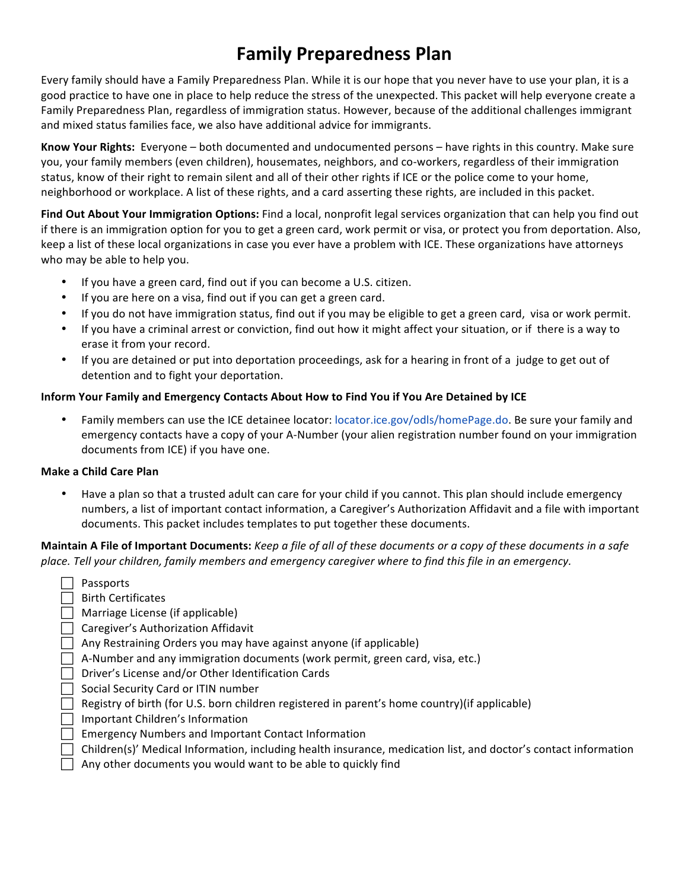# **Family Preparedness Plan**

Every family should have a Family Preparedness Plan. While it is our hope that you never have to use your plan, it is a good practice to have one in place to help reduce the stress of the unexpected. This packet will help everyone create a Family Preparedness Plan, regardless of immigration status. However, because of the additional challenges immigrant and mixed status families face, we also have additional advice for immigrants.

**Know Your Rights:** Everyone – both documented and undocumented persons – have rights in this country. Make sure you, your family members (even children), housemates, neighbors, and co-workers, regardless of their immigration status, know of their right to remain silent and all of their other rights if ICE or the police come to your home, neighborhood or workplace. A list of these rights, and a card asserting these rights, are included in this packet.

Find Out About Your Immigration Options: Find a local, nonprofit legal services organization that can help you find out if there is an immigration option for you to get a green card, work permit or visa, or protect you from deportation. Also, keep a list of these local organizations in case you ever have a problem with ICE. These organizations have attorneys who may be able to help you.

- If you have a green card, find out if you can become a U.S. citizen.
- If you are here on a visa, find out if you can get a green card.
- If you do not have immigration status, find out if you may be eligible to get a green card, visa or work permit.
- If you have a criminal arrest or conviction, find out how it might affect your situation, or if there is a way to erase it from your record.
- If you are detained or put into deportation proceedings, ask for a hearing in front of a judge to get out of detention and to fight your deportation.

### **Inform Your Family and Emergency Contacts About How to Find You if You Are Detained by ICE**

Family members can use the ICE detainee locator: locator.ice.gov/odls/homePage.do. Be sure your family and emergency contacts have a copy of your A-Number (your alien registration number found on your immigration documents from ICE) if you have one.

### **Make a Child Care Plan**

• Have a plan so that a trusted adult can care for your child if you cannot. This plan should include emergency numbers, a list of important contact information, a Caregiver's Authorization Affidavit and a file with important documents. This packet includes templates to put together these documents.

**Maintain A File of Important Documents:** *Keep a file of all of these documents or a copy of these documents in a safe* place. Tell your children, family members and emergency caregiver where to find this file in an emergency.

- $\Box$  Passports
- $\Box$  Birth Certificates
- $\Box$  Marriage License (if applicable)
- $\Box$  Caregiver's Authorization Affidavit
- $\Box$  Any Restraining Orders you may have against anyone (if applicable)
- $\Box$  A-Number and any immigration documents (work permit, green card, visa, etc.)
- $\Box$  Driver's License and/or Other Identification Cards
- | Social Security Card or ITIN number
- $\Box$  Registry of birth (for U.S. born children registered in parent's home country)(if applicable)
- $\Box$  Important Children's Information
- $\Box$  Emergency Numbers and Important Contact Information
- $\Box$  Children(s)' Medical Information, including health insurance, medication list, and doctor's contact information
- $\Box$  Any other documents you would want to be able to quickly find